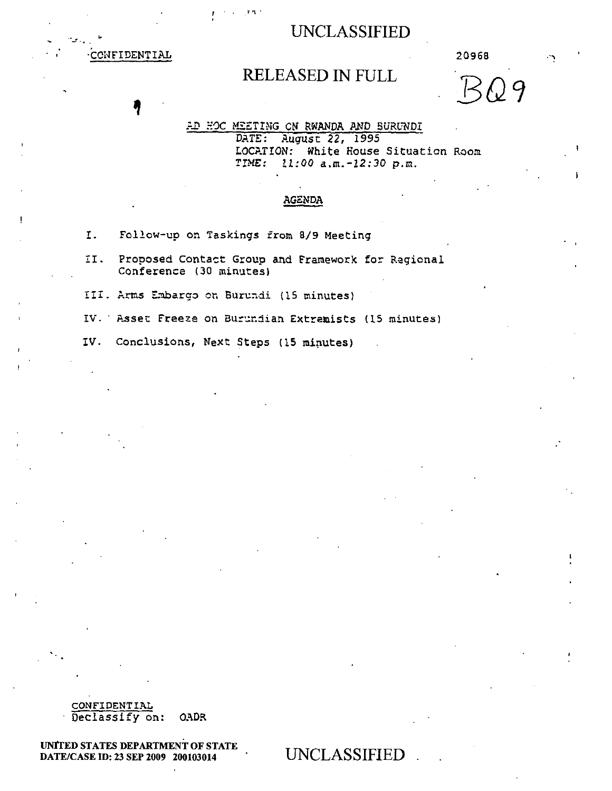-CONFIDENTIAL 20968

# RELEASED IN FULL

*EQ9* 

AD HOC MEETING ON RWANDA AND BURUNDI

DATE: August 22, 1995 LOCATION: White House Situation Room<br>TIME: 11:00 a.m.-12:30 p.m.  $11:00$  a.m.  $-12:30$  p.m.

#### AGENDA

I. Follow-up on Taskings from 8/9 Meeting

्र प

- II. Proposed Contact Group and Framework for Regional Conference (30 minutes)
- III.Arms Embargo on Burundi (15 minutes)
- IV. ' Asset Freeze on Burundian Extremists (15 minutes)
- IV. Conclusions, Next Steps (15 minutes)

CONFIDENTIAL Declassify on: OADR

UNITED STATES DEPARTMENT OF STATE DATE/CASE ID: 23 SEP 2009 200103014 UNCLASSIFIED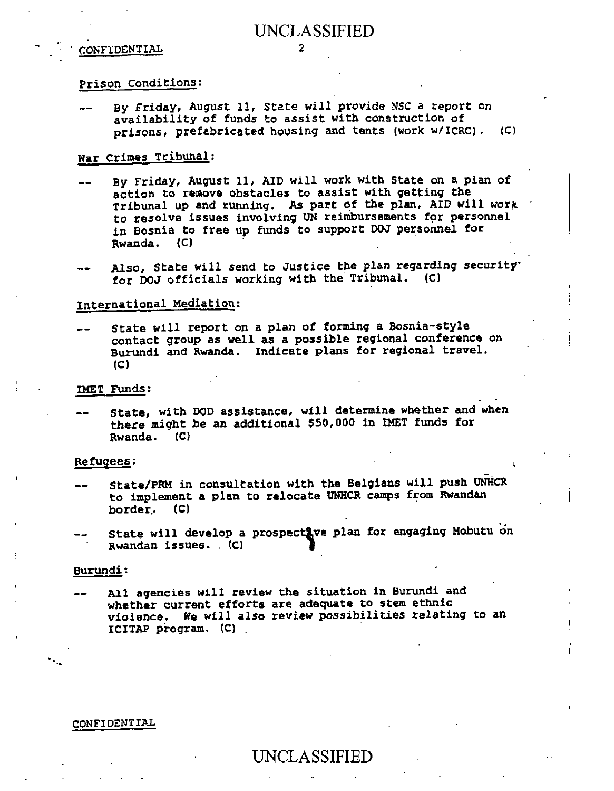#### ' CONFIDENTIAL 2

#### Prison Conditions:

By Friday, August 11, State will provide NSC a report on availability of funds to assist with construction of prisons, prefabricated housing and tents (work w/ICRC). (C)

### War Crimes Tribunal:

- By Friday, August 11, AID will work with State on a plan of action to remove obstacles to assist with getting the Tribunal up and running. As part of the plan, AID will work to resolve issues involving UN reimbursements for personnel in Bosnia to free up funds to support DOJ personnel for Rwanda. (C)
- Also, State will send to Justice the plan regarding security.<br>for POJ officials working with the Tribunal. (C) for DOJ officials working with the Tribunal.

### International Mediation:

State will report on a plan of forming a Bosnia-style contact group as well as a possible regional conference on Burundi and Rwanda. Indicate plans for regional travel. (C)  $\bullet\,\,$ 

#### IMET Funds:

State, with DOD assistance, will determine whether and when there might be an additional \$50,000 in IMET funds for Rwanda. (C)

#### Refugees:

- State/PRM in consultation with the Belgians will push UNHCR to implement a plan to relocate UNHCR camps from Rwandan border, (C)
- State will develop a prospectave plan for engaging Mobutu on Rwandan issues. (C)

#### Burundi:

All agencies will review the situation in Burundi and whether current efforts are adequate to stem ethnic violence. We will also review possibilities relating to an ICITAP program. (C) . **•=. 4111P** 

#### CONFIDENTIAL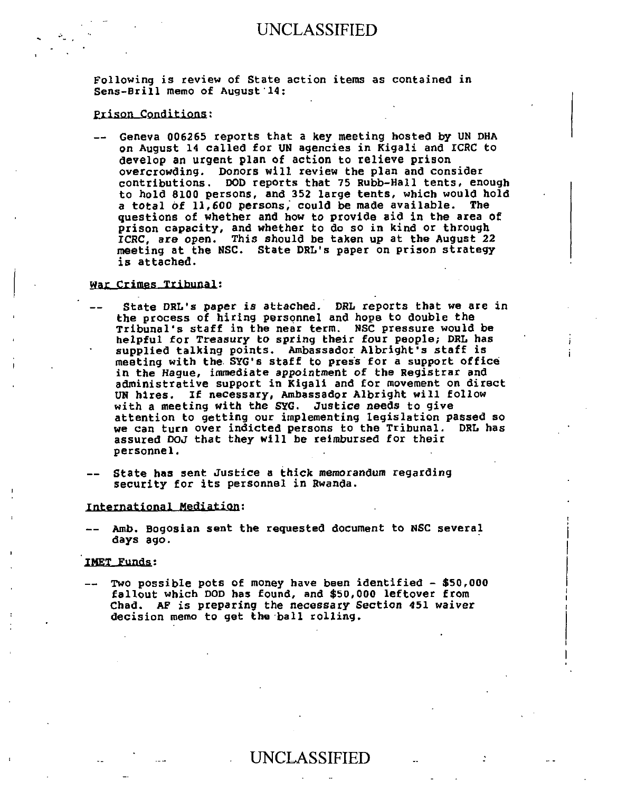Following is review of State action items as contained in Sens-Brill memo of August 14:

#### **Prison Conditions:**

Geneva 006265 reports that a key meeting hosted by UN DHA on August 14 called for UN agencies in Kigali and ICRC to develop an urgent plan of action to relieve prison overcrowding. Donors will review the plan and consider contributions. DOD reports that 75 Rubb-Hall tents, enough to hold 8100 persons, and 352 large tents, which would hold a total of 11,600 persons, could be made available. The questions of whether and how to provide aid in the area of prison capacity, and whether to do so in kind or through ICRC, are open. This should be taken up at the August 22 meeting at the NSC. State DRL's paper on prison strategy is attached.

#### War Crimes Tribunal:

- State DRL's paper is attached. DRL reports that we are in the process of hiring personnel and hope to double the Tribunal's staff in the near term. NSC pressure would be helpful for Treasury to spring their four people; DRL has supplied talking points. Ambassador Albright's staff is meeting with the. SYG's staff to press for a support office in the Hague, immediate appointment of the Registrar and administrative support in Kigali and for movement on direct UN hires. If necessary, Ambassador Albright will follow with a meeting with the SYG. Justice needs to give attention to getting our implementing legislation passed so we can turn over indicted persons to the Tribunal. DRL has assured DOJ that they will be reimbursed for their personnel.
- State has sent Justice a thick memorandum regarding security for its personnel in Rwanda.

#### International Mediation:

Amb. Bogosian sent the requested document to NSC several days ago.

#### IMET Funds:

Two possible pots of money have been identified - \$50,000 fallout which DOD has found, and \$50,000 leftover from Chad. **AF** is preparing the necessary Section 451 waiver decision memo to get the ball rolling.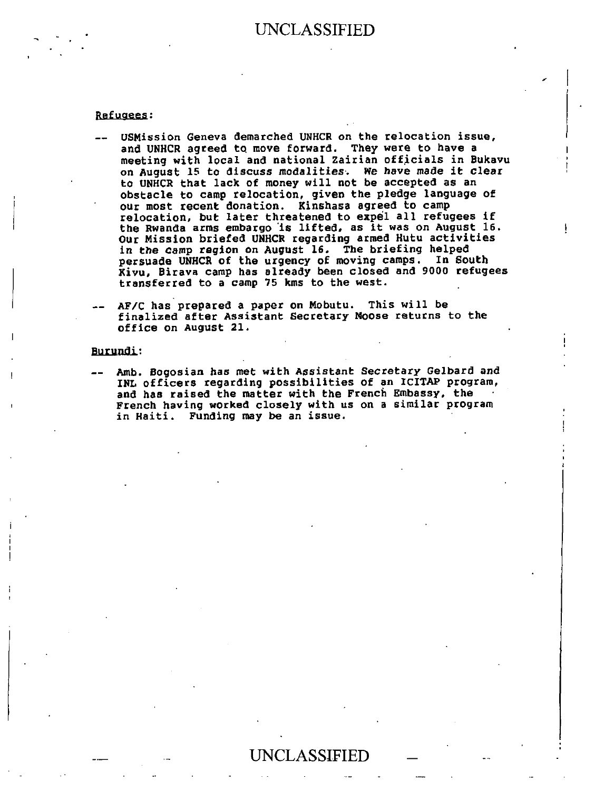#### Refugees:

- USMission Geneva demarched UNHCR on the relocation issue, and UNHCR agreed to move forward. They were to have a meeting with local and national Zairian officials in Bukavu on August 15 to discuss modalities. We have made it **clear**  to UNHCR that lack of money will not be accepted as an obstacle to camp relocation, given the pledge language of our most recent donation. Kinshasa agreed to camp relocation, but later threatened to expel all refugees if the Rwanda arms embargo is lifted, as it was on August 16. Our Mission briefed UNHCR regarding armed Hutu activities **in** the camp region on August 16. The briefing helped persuade UNHCR of the urgency of moving camps. In South Kivu, Birava camp has already been closed and 9000 refugees transferred to a camp 75 kms to the west.
- AF/C has prepared a paper on Mobutu. This will be finalized after Assistant Secretary Moose returns to the office on August 21.

#### Burundi:

- Amb. Bogosian **has met** with Assistant Secretary Gelbard and INL officers regarding possibilities of an ICITAP program, and has raised the matter with the French Embassy, the French having worked closely with us on a similar program in Haiti. Funding may be an issue.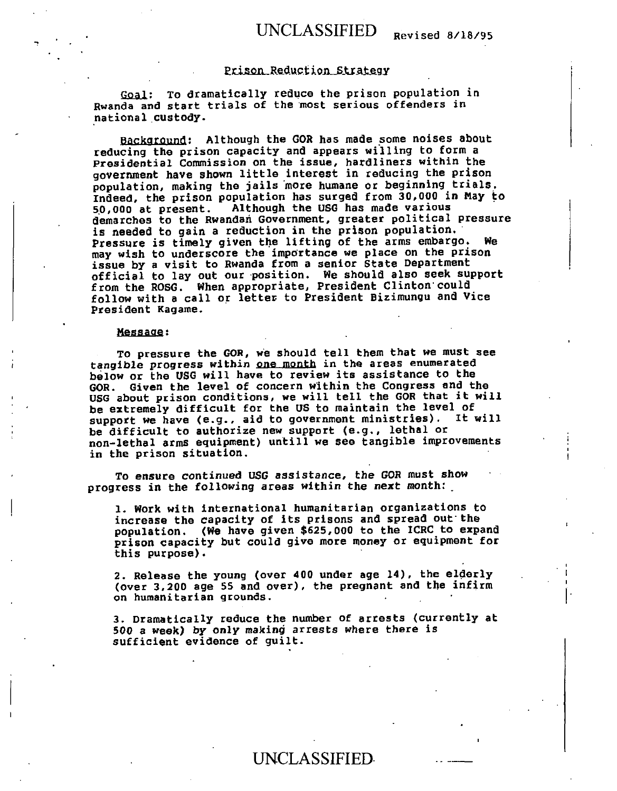## UNCLASSIFIED Revised 8/18/95

#### Prison Reduction Strategy

Goal: To dramatically reduce the prison population in Rwanda and start trials of the most serious offenders in national custody.

Background: Although the GOR has made some noises about reducing the prison capacity and appears willing to form a Presidential Commission on the issue, hardliners within the government have shown little interest in reducing the prison population, making the jails more humane or beginning trials. Indeed, the prison population has surged from 30,000 in May to 50,000 at present. Although the USG has made various demarches to the Rwandan Government, greater political pressure is needed to gain a reduction in the prison population. Pressure is timely given the lifting of the arms embargo. We may wish to underscore the importance we place on the prison issue by a visit to Rwanda from a senior State Department official to lay out our position. We should also seek support from the ROSG. When appropriate, President Clinton could follow with a call or letter to President Bizimungu and Vice President Kagame.

#### Message:

To pressure the **GOR,** we should tell them that we must see tangible progress within one month in the areas enumerated below or the USG will have to review its assistance to the GOR. Given the level of concern within the Congress and the USG about prison conditions, we will tell the GOR that it will be extremely difficult for the US to maintain the level of support we have (e.g., aid to government ministries). It will be difficult to authorize new support (e.g., lethal or non-lethal arms equipment) untill we see tangible improvements in the prison situation.

To ensure continued USG assistance, the GOR must show progress in the following areas within the next month: .

1. Work with international humanitarian organizations to increase the capacity of its prisons and spread out'the population. (We have given \$625,000 to the ICRC to expand prison capacity but could give more money or equipment for this purpose).

2. Release the young (over 400 under age 14), the elderly (over 3,200 age 55 and over), the pregnant and the infirm on humanitarian grounds.

3. Dramatically reduce the number of arrests (currently at 500 a week) by only making arrests where there is sufficient evidence of guilt.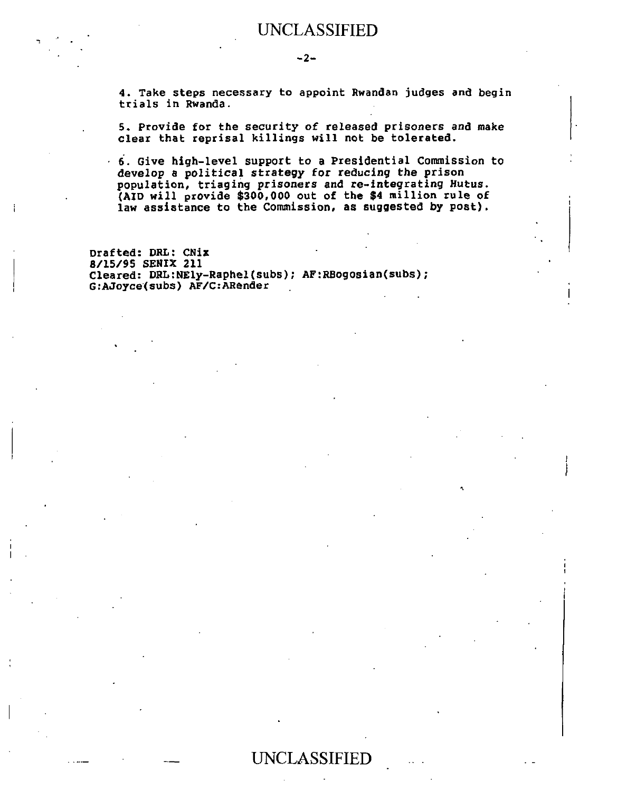4. Take steps necessary to appoint Rwandan judges and begin trials in Rwanda.

5. Provide for the security of released prisoners and make clear that reprisal killings will not be tolerated.

• 6. Give high-level support to a Presidential Commission to develop a political strategy for reducing the prison population, triaging prisoners and re-integrating Hutus. (AID will provide **\$300,000 out** of the \$4 million rule of law assistance to the Commission, as suggested by post).

Drafted: DRL: Chia 8/15/95 SENIX 211 Cleared: DRL:NEly-Raphel(subs); AF:RBogosian(subs); G:AJoyce(subs) AF/C:ARender

•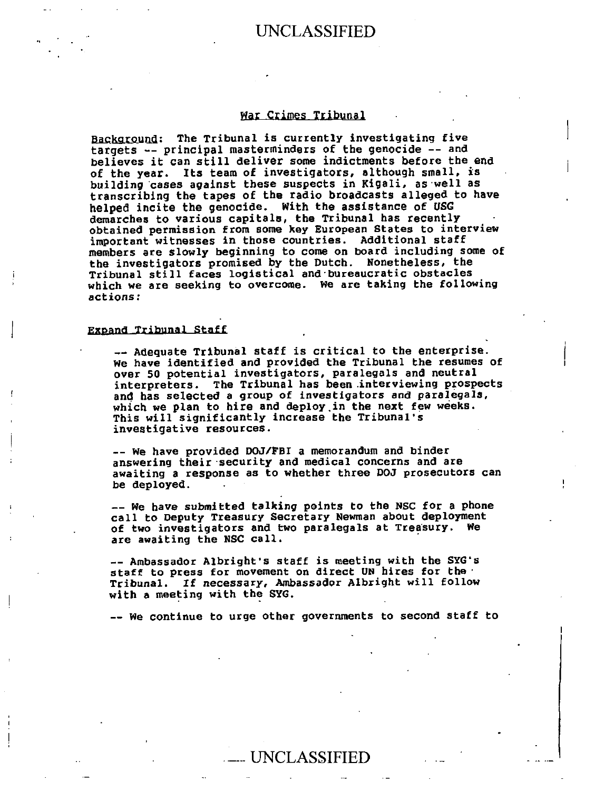### **'far Crimes Tribunal**

Background: The Tribunal is currently investigating five **targets -- principal masterminders of the genocide -- and believes it can still deliver some indictments before the end of the year. Its team of investigators, although small, is building cases against these suspects in Kigali, as well as transcribing the tapes of the radio broadcasts alleged to have helped incite the genocide. With the assistance of USG**  demarches to various capitals, the Tribunal has recently **obtained permission from some key European States to interview important witnesses in those countries. Additional staff members are slowly beginning to come on board including some of the investigators promised by the Dutch. Nonetheless, the Tribunal still faces logistical and .bureaucratic obstacles which we are seeking to overcome. We are taking the following actions:** 

#### **expand Tribunal Staff**

**-- Adequate Tribunal staff is critical to the enterprise. We have identified and provided the Tribunal the resumes of over 50 potential investigators, paralegals and neutral interpreters. The Tribunal has been interviewing prospects and has selected a group of investigators and paralegals, which we plan to hire and deploy.in the next few weeks. This will significantly increase the Tribunal's investigative resources.** 

**-- We have provided D00/FBI a memorandum and binder answering their security and medical concerns and are awaiting a response as to whether three D00 prosecutors can be deployed.** 

**-- We have submitted talking points to the NSC for a phone call to Deputy Treasury Secretary Newman about deployment**  of two investigators and two paralegals at Treasury. We **are awaiting the NSC call.** 

**-- Ambassador Albright's staff is meeting with the SYG's staff to press for movement on direct UN hires for the Tribunal. If necessary, Ambassador Albright will follow with a meeting with the SYG.** 

**-- We continue to urge other governments to second staff to** 

## \_\_ UNCLASSIFIED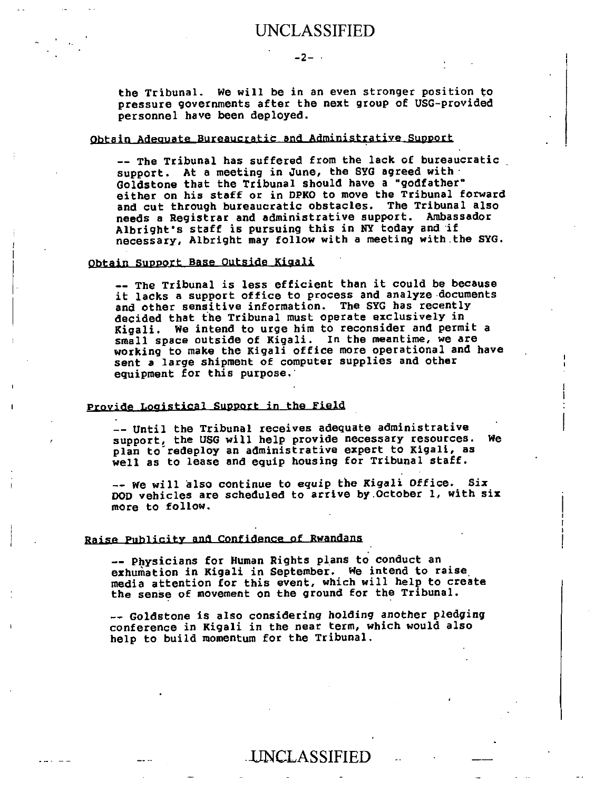the Tribunal. We will be in an even stronger position to pressure governments after the next group of USG-provided personnel have been deployed.

 $-2-$ 

#### Obtain Adequate Bureaucratic and Administrative Support

-- The Tribunal has suffered from the lack of bureaucratic support. At a meeting in June, the SYG agreed with  $\cdot$ Goldstone that the Tribunal should have a "godfather" either on his staff or in DPKO to move the Tribunal forward and cut through bureaucratic obstacles. The Tribunal also needs a Registrar and administrative support. Ambassador Albright's staff is pursuing this in NY today and if necessary, Albright may follow with a meeting with the SYG.

#### Obtain Support Base Outside Kigali

-- The Tribunal is less efficient than it could be because it lacks a support office to process and analyze documents and other sensitive information. The SYG has recently decided that the Tribunal must operate exclusively in Kigali. We intend to urge him to reconsider and permit a small space outside of Kigali. In the meantime, we are working to make the Kigali office more operational and have sent a large shipment of computer supplies and other equipment for this purpose.

#### Provide Logistical Support in the Field

-- Until the Tribunal receives adequate administrative support, the USG will help provide necessary resources. We plan to redeploy an administrative expert to Kigali, as well as to lease and equip housing for Tribunal staff.

-- We will also continue to **equip the** Kigali Office. Six DOD vehicles are scheduled to arrive by.October 1, with six more to follow.

#### Raise Publicity and Confidence of Rwandans

-- Physicians for Human Rights plans to conduct an exhumation in Kigali in September. We intend to raise media attention for this event, which will help to create the sense of movement on the ground for the Tribunal.

-- Goldstone is also considering holding another **pledging**  conference in Kigali in the near term, which would also help to build momentum for the Tribunal.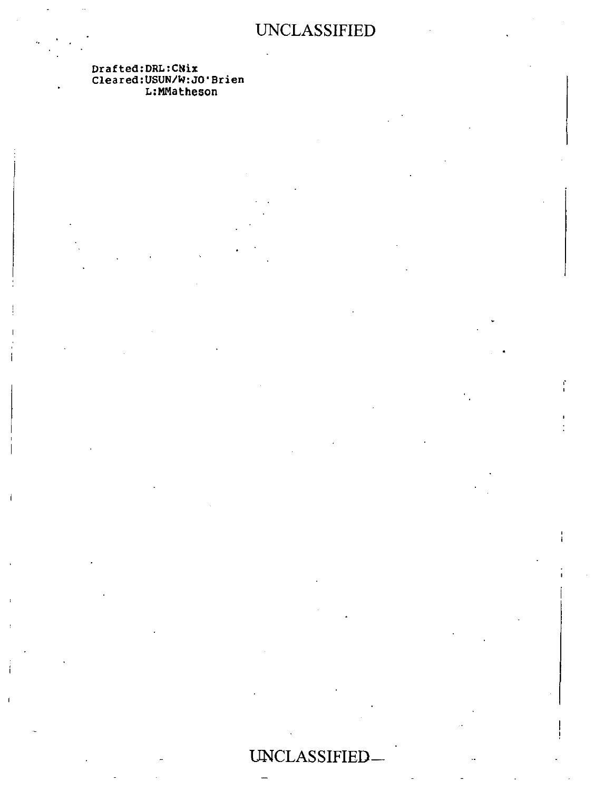Drafted:DRL:CNix Cleared:USUN/W:JO'Brien L:MMatheson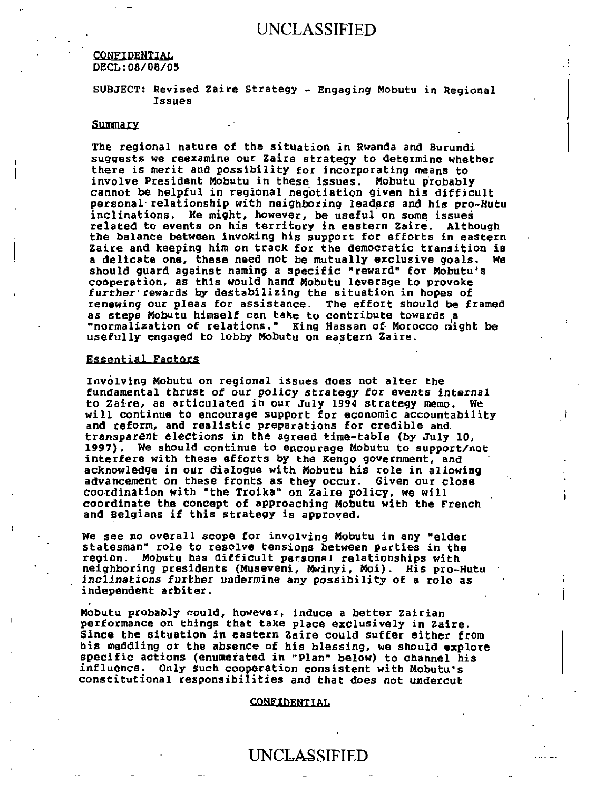#### CONFIDENTIAL DECL:08/08/05

SUBJECT: Revised Zaire Strategy - Engaging Mobutu in Regional Issues

#### Summary

The regional nature of the situation in Rwanda and Burundi suggests we reexamine our Zaire strategy to determine whether there is merit and possibility for incorporating means to involve President Mobutu in these issues. Mobutu probably cannot be helpful in regional negotiation given his difficult personal relationship with neighboring leaders and his pro-Hutu inclinations. He might, however, be useful on some issues related to events on his territory in eastern Zaire. Although the balance between invoking his support for efforts in eastern Zaire and keeping him on track for the democratic transition is a delicate one, these need not be mutually exclusive goals. We should guard against naming a specific "reward" for Mobutu's cooperation, as this would hand Mobutu leverage to provoke further rewards by destabilizing the situation in hopes of renewing our pleas for assistance. The effort should be framed as steps Mobutu himself can take to contribute towards a "normalization of relations." King Hassan of Morocco might be usefully engaged to lobby Mobutu on eastern Zaire.

#### Essential Factors

Involving Mobutu on regional issues does not alter the fundamental thrust of our policy strategy for events internal to Zaire, as articulated in our July 1994 strategy memo. We will continue to encourage support for economic accountability and reform, and realistic preparations for credible and transparent elections in the agreed time-table (by July 10, 1997). We should continue to encourage Mobutu to support/not interfere with these efforts by the Kengo government, and acknowledge in our dialogue with Mobutu his role in allowing advancement on these fronts as they occur. Given our close coordination with "the Troika" on Zaire pOlicy, we will coordinate the concept of approaching Mobutu with the French and Belgians if this strategy is approved.

We see no overall scope for involving Mobutu in any "elder statesman" role to resolve tensions between parties in the region. Mobutu has difficult personal relationships with neighboring presidents (Museveni, Mwinyi, Moi). His pro-Hutu inclinations further undermine any possibility of a role as independent arbiter.

Mobutu probably could, however, induce a better Zairian performance on things that take place exclusively in Zaire. Since the situation in eastern Zaire could suffer either from his meddling or the absence of his blessing, we should explore specific actions (enumerated in "Plan" below) to channel his influence. Only such cooperation consistent with Mobutu's constitutional responsibilities and that does not undercut

#### CONFIDENTIAL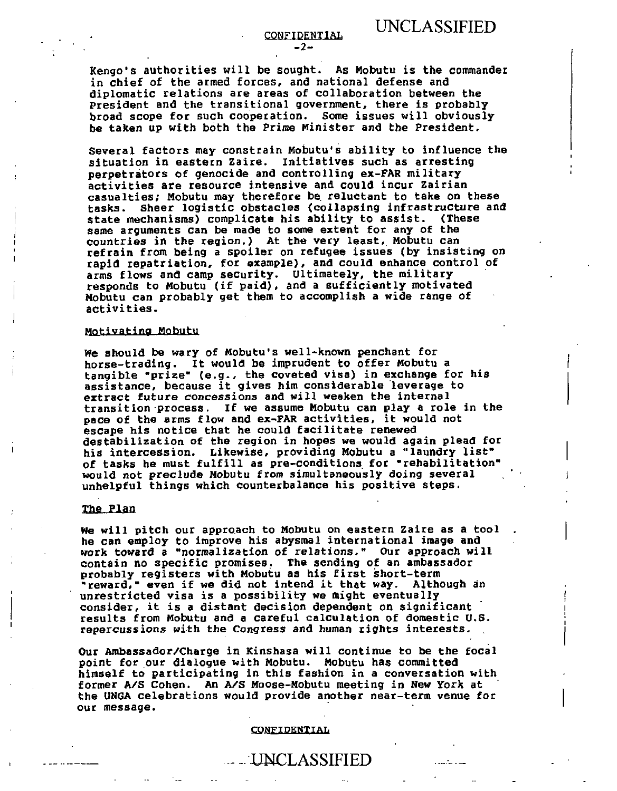**Kengo's authorities will be sought. As Mobutu is the commander in chief of the armed forces, and national defense and diplomatic relations are areas of collaboration between the President and the transitional government, there is probably broad scope for such cooperation. Some issues will obviously be taken up with both the Prime Minister and the President.** 

**Several factors may constrain Mobutu's ability to influence the situation in eastern Zaire. Initiatives such as arresting perpetrators of genocide and controlling ex-FAR military activities are resource intensive and could incur Zairian casualties; Mobutu may therefore be reluctant to take on these tasks. Sheer logistic obstacles (collapsing infrastructure and state mechanisms) complicate his ability to assist. (These same arguments can be made to some extent for any of the countries in the region.) At the very least, Mobutu can refrain from being a spoiler on refugee issues (by insisting on rapid repatriation, for example), and could enhance control of arms flows and camp security. Ultimately, the military responds to Mobutu (if paid), and a sufficiently motivated Mobutu can probably get them to accomplish a wide range of activities.** 

#### **Motivatina Mobutu**

**We should be wary of Mobutu's well-known penchant for horse-trading. It would be imprudent to offer Mobutu a tangible "prize" (e.g., the coveted visa) in exchange for his assistance, because it gives him considerable leverage to extract future concessions and will weaken the internal transition process. If we assume Mobutu can play a role in the pace of the arms flow and ex-FAR activities, it would not escape his notice that he could facilitate renewed destabilization of the region in hopes we would again plead for his intercession. Likewise, providing Mobutu a "laundry list" of tasks he must fulfill as pre-conditions for "rehabilitation" would not preclude Mobutu from simultaneously doing several unhelpful things which counterbalance his positive steps.** 

#### **The Plan**

**We will pitch our approach to Mobutu on eastern Zaire as a tool he can employ to improve his abysmal international image and work toward a "normalization of relations." Our approach will contain no specific promises. The sending of an ambassador probably registers with Mobutu as his first short-term "reward," even if we did not intend it that way. Although an unrestricted visa is a possibility we might eventually consider, it is a distant decision dependent on significant results from Mobutu and a careful calculation of domestic U.S. repercussions with the Congress and human rights interests.** 

**Our Ambassador/Charge in Kinshasa will continue to be the focal point for our dialogue with Mobutu. Mobutu has committed himself to participating in this fashion in a conversation with former A/S Cohen. An A/S Moose-Mobutu meeting in New York at the UNGA celebrations would provide another near-term venue for our message.** 

#### **CONFIDENTTAi4**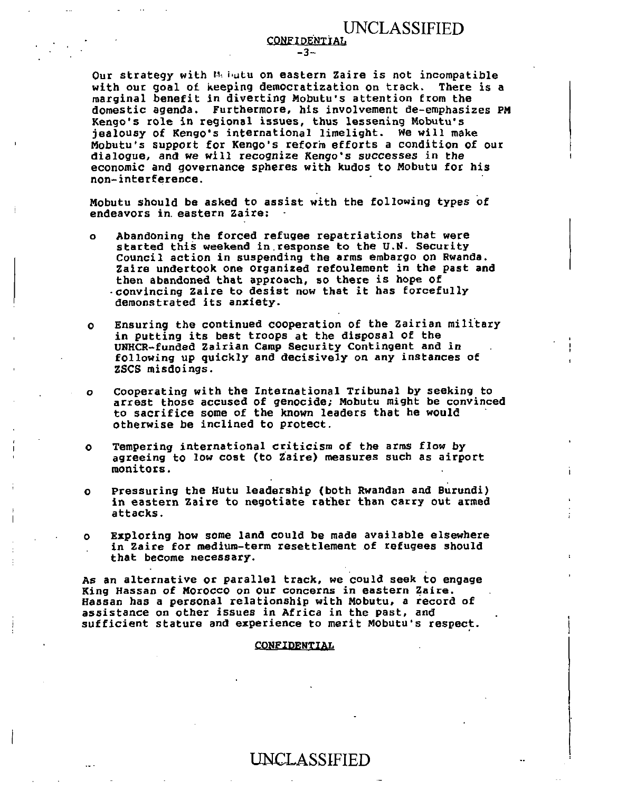**CONFIDENTIAL** -3-

Our strategy with  $M_1$  butu on eastern Zaire is not incompatible with our goal of keeping democratization on track. There is a marginal benefit in diverting Mobutu's attention from the domestic agenda. Furthermore, his involvement de-emphasizes PM Kengo's role in regional issues, thus lessening Mobutu's jealousy of Kengo's international limelight. We will make Mobutu's support for Kengo's reform efforts a condition of our dialogue, and we will recognize Kengo's successes in the economic and governance spheres with kudos to Mobutu for his non-interference.

Mobutu should be asked to assist with the following types of endeavors in eastern Zaire:

- o Abandoning the forced refugee repatriations that were started this weekend in.response to the U.N. Security Council action in suspending the arms embargo on Rwanda. Zaire undertook one organized refoulement in the past and then abandoned that approach, so there is hope of -convincing Zaire to desist now that it has forcefully demonstrated its anxiety.
- o Ensuring the continued cooperation of the Zairian military in putting its best troops at the disposal of the UNHCR-funded Zairian Camp Security Contingent and in following up quickly and decisively on any instances of ZSCS misdoings.
- o Cooperating with the International Tribunal by seeking to arrest those accused of genocide; Mobutu might be convinced to sacrifice some of the known leaders that he would otherwise be inclined to protect.
- o Tempering international criticism of the arms flow by agreeing to low cost (to Zaire) measures such as airport monitors.
- o Pressuring the Hutu leadership (both Rwandan and Burundi) in eastern Zaire to negotiate rather than carry out armed attacks.
- o Exploring how some land could be made available elsewhere in Zaire for medium-term resettlement of refugees should that become necessary.

As an alternative or parallel track, we could seek to engage King Hassan of Morocco on our concerns in eastern Zaire. Hassan has a personal relationship with Mobutu, a record of assistance on other issues in Africa in the past, and sufficient stature and experience to merit Mobutu's respect.

#### **CONFIDENTIAL**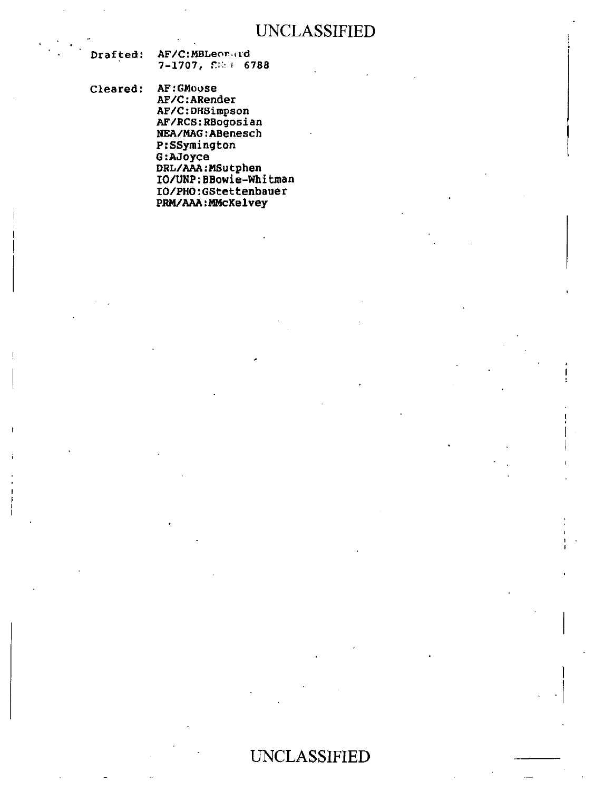| <b>Drafted:</b> | AF/C:MBLeon.rd             |  |  |
|-----------------|----------------------------|--|--|
|                 | $7-1707$ , $\Sigma = 6788$ |  |  |

Cleared: AF:GMoose AF/C:ARender AF/C:DHSimpson AF/RCS:RBogosian NEA/MAG:ABenesch P:SSymington G:AJoyce DRL/AAA:MSutphen IO/UNP:BBowie-Whitman

> IO/PHO:GStettenbauer PRM/AAA:MMcKelvey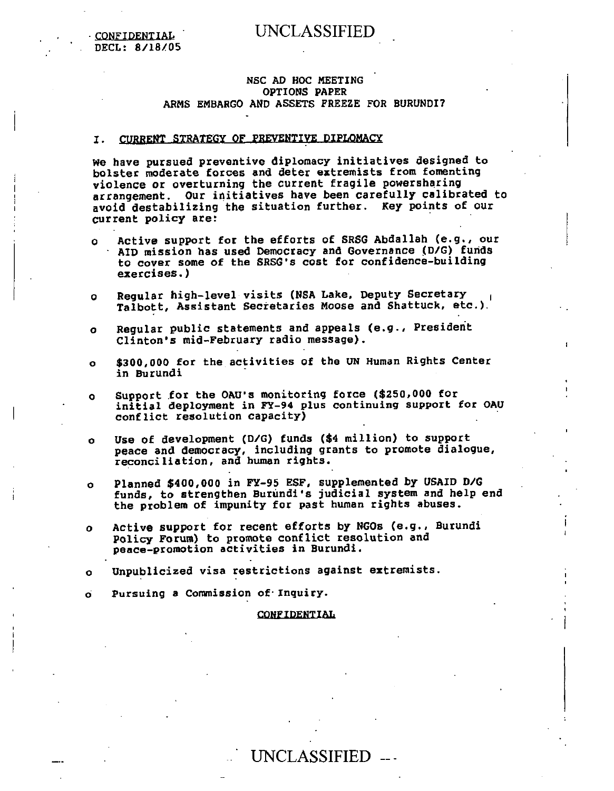CONFIDENTIAL **DECL: 8/18/05** 

#### **NSC AD HOC MEETING OPTIONS PAPER ARMS EMBARGO AND ASSETS FREEZE FOR BURUNDI?**

#### **I. CURRENT STRATEGY OF PREVENTIVE DIPLOMACY**

**We have pursued preventive diplomacy initiatives designed to bolster moderate forces and deter extremists from fomenting violence or overturning the current fragile powersharing arrangement. Our initiatives have been carefully calibrated to avoid destabilizing the situation further. Key points of our current policy are:** 

- **o Active support for the efforts of SRSG Abdallab (e.g., our AID mission has used Democracy and Governance (D/G) funds to cover some of the SRSG's cost for confidence-building exercises.)**
- **o Regular high-level visits (NSA Lake, Deputy Secretary Talbott, Assistant Secretaries Moose and Shattuck, etc.)** .
- **o Regular public statements and appeals (e.g., President Clinton's mid-February radio message).**
- **o \$300,000 for the activities of the UN Human Rights Center in Burundi**
- **o Support for the OAU's monitoring force (\$250,000 for initial deployment in FY-94 plus continuing support for OAU conflict resolution capacity)**
- **o Use of development (D/G) funds (\$4 million) to support peace and democracy, including grants to promote dialogue, reconciliation, and human rights.**
- **o Planned \$400,000 in FY-95 ESF, supplemented by USAID D/G funds, to strengthen Burundi's judicial system and help end the problem of impunity for past human rights abuses.**
- **o Active support for recent efforts by NGOs (e.g., Burundi Policy Forum) to promote conflict resolution and peace-promotion activities in Burundi.**
- **o Unpublicized visa restrictions against extremists.**

o **Pursuing a Commission of•Inquiry.** 

#### **CONFIDENTIAL**

# UNCLASSIFIED ---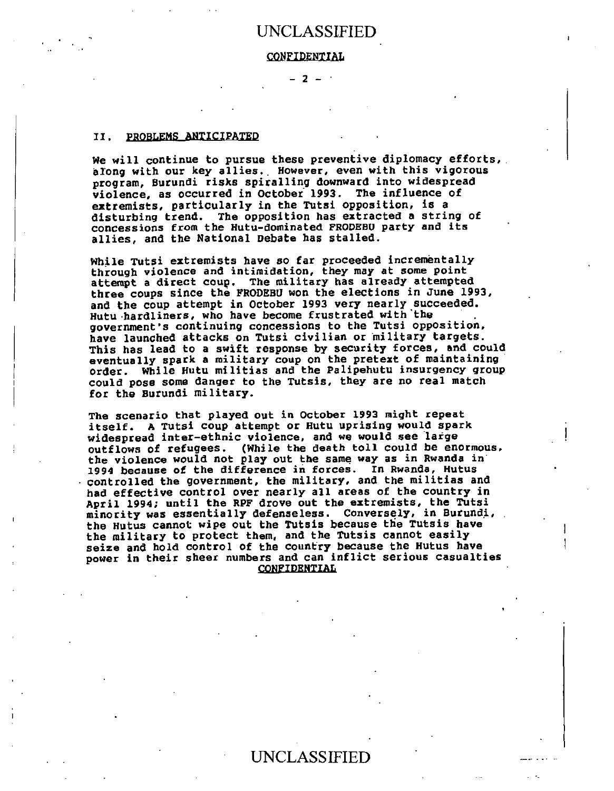#### **CONFIDENTIAL**

 $-2 -$ 

#### II. PROBLEMS ANTICIPATED

**We will continue to pursue these preventive diplomacy efforts, along with our key allies. However, even with this vigorous program, Burundi risks spiralling downward into widespread violence, as occurred in October 1993. The influence of extremists, particularly in the Tutsi opposition, is a disturbing trend. The opposition has extracted a string of concessions from the Hutu -dominated FRODEHU party and its allies, and the National Debate has stalled.** 

**While Tutsi extremists have so far proceeded incrementally through violence and intimidation, they may at some point attempt a direct coup. The military has already attempted three coups since the FRODEBU won the elections in June 1993, and the coup attempt in October 1993 very nearly succeeded. Hutu hardliners, who have become frustrated with'the government's continuing concessions to the Tutsi opposition, have launched attacks on Tutsi civilian or 'military targets. This has lead to a swift response by security forces, and could eventually spark a military coup on the pretext of maintaining order. While Hutu militias and the Palipehutu insurgency group could pose some danger to the Tutsis, they are no real match for the Burundi military.** 

**The scenario that played out in October 1993 might repeat itself. A Tutsi coup attempt or Hutu uprising would spark widespread inter-ethnic violence, and we would see large outflows of refugees. (While the death toll could be enormous, the violence would not play out the same way as in Rwanda in** ' **1994 because of the difference in forces. In Rwanda, Hutus controlled the government, the military, and the militias and had effective control over nearly all areas of the country in April 1994; until the RPF drove out the extremists, the Tutsi minority was essentially defenseless. Conversely, in Burundi, the Hutus cannot wipe out the Tutsis because the Tutsis have the military to protect them, and the Tutsis cannot easily seize and hold control of the country because the Hutus have power in their sheer numbers and can inflict serious casualties CONFIDENTIAL**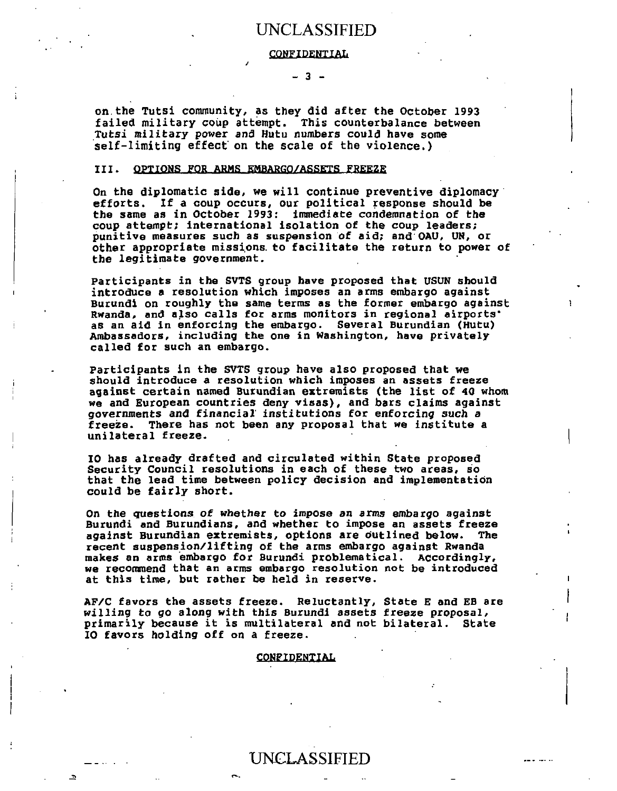#### **CONFIDENTIAL**

#### $-3 -$

**on the Tutsi community, as they did after the October 1993 failed military coup attempt. This counterbalance between Tutsi military power and Hutu numbers could have some self-limiting effect on the scale of the violence.)** 

#### **III. OPTIONS FOR ARMS EMBARGO/ASSETS FREEZE**

**On the diplomatic side, we will continue preventive diplomacy efforts. If a coup occurs, our political response should be the same as in October 1993: immediate condemnation of the coup attempt; international isolation of the coup leaders; punitive measures such as suspension of aid; and OAU, UN, or other appropriate mission& to facilitate the return to power of the legitimate government.** 

**Participants in the SVTS group have proposed that USUN should introduce a resolution which imposes an arms embargo against Burundi on roughly the same terms as the former embargo against Rwanda, and also calls for arms monitors in regional airports' as an aid in enforcing the embargo. Several Burundian (Hutu) Ambassadors, including the one in Washington, have privately called for such an embargo.** 

**Participants in the SVTS group have also proposed that we should introduce a resolution which imposes an assets freeze against certain named Burundian extremists (the list of 40 whom we and European countries deny visas), and bars claims against governments and financial institutions for enforcing such a freeze. There has not been any proposal that we institute a unilateral freeze.** 

**10 has already drafted and circulated within State proposed Security Council resolutions in each of these two areas, so that the lead time between policy decision and implementation could be fairly short.** 

**On the questions of whether to impose an arms embargo against Burundi and Burundians, and whether to impose an assets freeze against Burundian extremists, options are outlined below. The recent suspension/lifting of the arms embargo against Rwanda makes an arms embargo for Burundi problematical. Accordingly, we recommend that an arms embargo resolution not be introduced at this time, but rather be held in reserve.** 

**AF/C favors the assets freeze. Reluctantly, State E and EH are willing to go along with this Burundi assets freeze proposal, primarily because it is multilateral and not bilateral. State IO favors holding off on a freeze.** 

#### **CONFIDENTIAL**

# UNCLASSIFIED

 $\Box$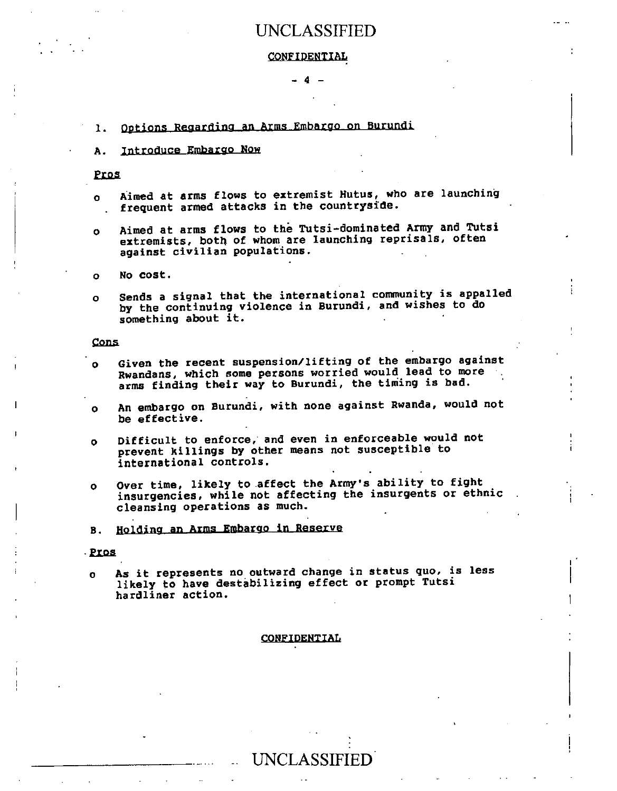#### **CONFIDENTIAL**

**- 4 -** 

#### **1 Options Reaardina an Arms Embargo on Burundi**

#### **A. Introduce Embargo Now**

Pros

- **o Aimed at arms flows to extremist Nutus, who are launching frequent armed attacks in the countryside.**
- **o Aimed at arms flows to the Tutsi-dominated Army and TUtsi extremists, both of whom are launching reprisals, often against civilian populations.**

**o No cost.** 

**o Sends a signal that the international community is appalled by the continuing violence in Burundi, and wishes to do something about it.** 

**Cons** 

- **o Given the recent suspension/lifting of the embargo against Rwandans, which some persons worried would lead to more arms finding their way to Burundi, the timing is bad.**
- **o An embargo on Burundi, with none against Rwanda, would not be effective.**
- **o Difficult to enforce, and even in enforceable would not prevent killings by other means not susceptible to international controls.**
- **o Over time, likely to affect the Army's ability to fight insurgencies, while not affecting the insurgents or ethnic cleansing operations as much.**
- **B. fielding an Arms Embargo in Reserve**

#### **.2121 ,**

**o As it represents no outward change in status quo, is less likely to have destabilizing effect or prompt Tutsi hardliner action.** 

#### **CONFIDENTIAL**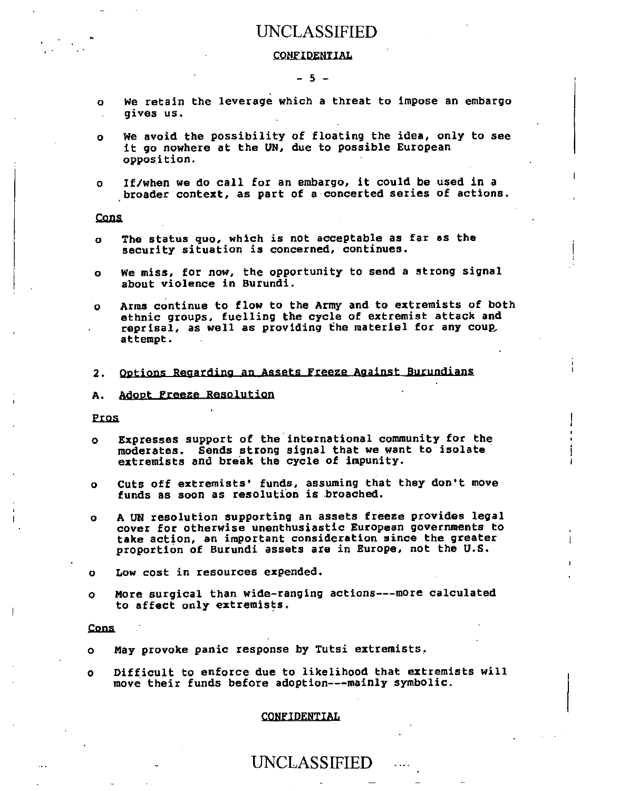#### **CONFIDENTIAL**

#### **- 5 -**

- **o We** retain the leverage which a threat to **impose an embargo**  gives us.
- **o We avoid the possibility of floating the idea, only to see it go nowhere at the UN, due to possible European opposition.**
- **o If/when we do call for an embargo, it could be used in a broader context, as part of a concerted series of actions.**

**Cons** 

- **o The status quo, which is not acceptable as far as the security situation is concerned, continues.**
- **o We miss, for now, the opportunity to send a strong signal about violence in Burundi.**
- **o Arms continue to flow to the Army and to extremists of both ethnic groups, fuelling the cycle of extremist attack and reprisal, as well as providing the materiel for any coup, attempt.**
- **2. Ontinns Reaardina an Assets Freeze Against Burundians**
- **A.** Adopt Freeze Resolution

#### Pros

- **o Expresses support of the international community for the moderates. Sends strong signal that we want to isolate extremists and break the cycle of impunity.**
- **o Cuts off extremists' funds, assuming that they don't move funds as soon as resolution is.broached.**
- **o A UN resolution supporting an assets freeze provides legal cover for otherwise unenthusiastic European governments to take action, an important consideration since the greater proportion of Burundi assets are in Europe, not the U.S.**
- **o Low cost in resources expended.**
- **o More surgical than wide-ranging actions---more calculated to affect only extremists.**

#### **Cans.**

- **o May provoke panic response by Tutsi extremists.**
- **o Difficult to enforce due to likelihood that extremists will move their funds before adoption---mainly symbolic.**

**CONFIDENTIAL**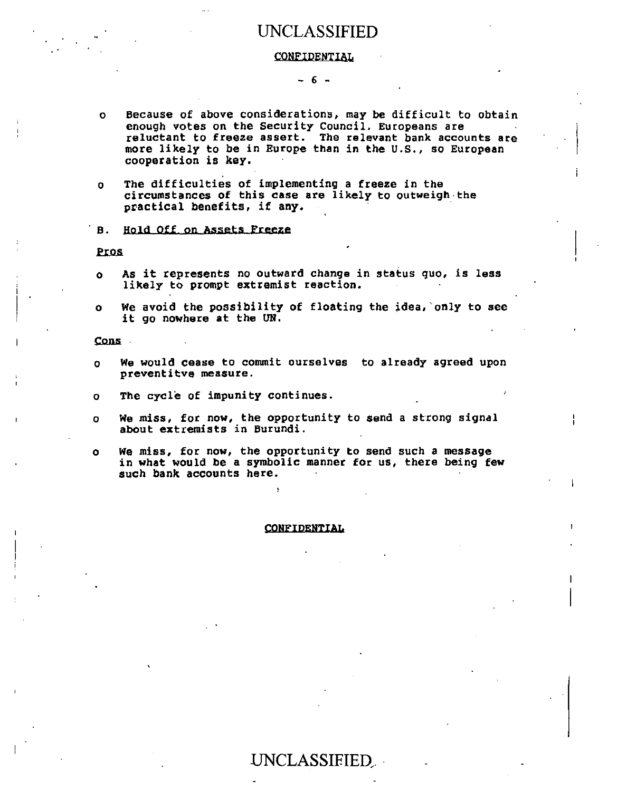#### **CONFIDENTIAL**

#### **- 6 -**

- o **Because of above considerations, may be difficult to obtain enough votes on the Security Council. Europeans are reluctant to freeze assert. The relevant bank accounts are more likely to be in Europe than in the U.S., so European cooperation is key.**
- **o The difficulties of implementing a freeze in the circumstances of this case are likely to outweigh the practical benefits, if any.**

#### **B.** Hold Off on Assets Freeze

**Pros** 

- **o As it represents no outward change in status quo, is less likely to prompt extremist reaction.**
- **o We avoid the possibility of floating the idea, only to see it go nowhere at the UN.**

**Cons** 

- **o We would cease to commit ourselves to already agreed upon preventitve measure.**
- **o The cycle of impunity continues.**
- **o We miss, for now, the opportunity to send a strong signal about extremists in Burundi.**
- **o We miss, for now, the opportunity to send such a message in what would be a symbolic manner for us, there being few such bank accounts here.**

#### **CONFIDENTIAL**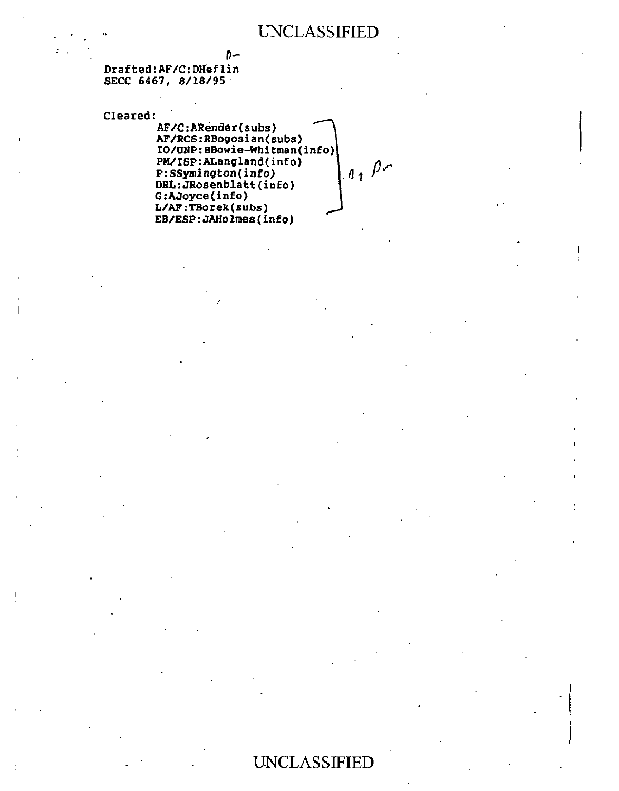D-**Drafted:AF/C:DHeflin SECC 6467, 8/18/95** 

**Cleared:** 

**AF/C:ARender(subs) AF/RCS:RBogosian(subs) IO/UNP: BBowie-Whitman(info)**<br>PM/ISP: ALangland(info)<br>P: SSymington(info)<br>DRI.: JPosenblitics **PM/ISP:ALangland(info) P: SSymington(info) DRL:JRosenblatt(info) G:AJoyce(info) L/AF:TBorek(subs) EB/ESP:JAHolmes(info)**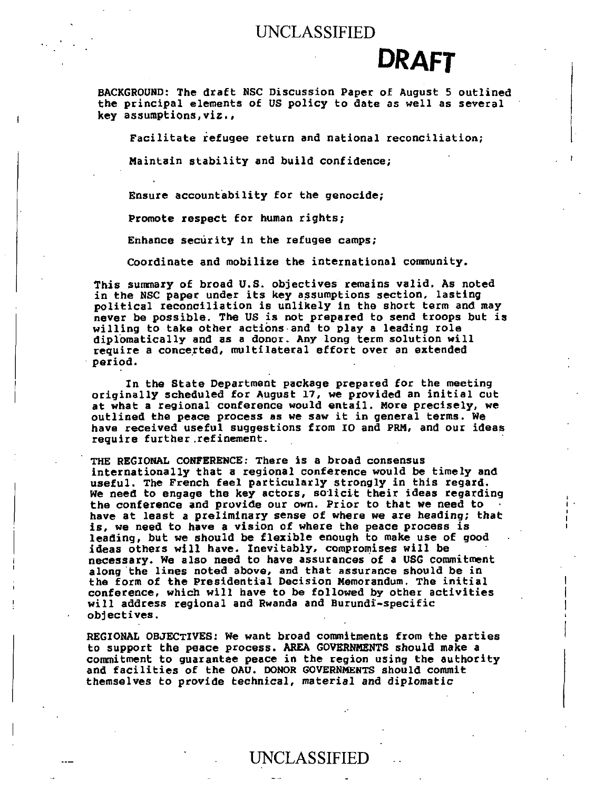# **DRAFT**

BACKGROUND: The draft NSC Discussion Paper of August 5 outlined the principal elements of US policy to date as well as several key assumptions,viz.,

Facilitate refugee return and national reconciliation;

Maintain stability and build confidence;

Ensure accountability for the genocide;

Promote respect for human rights;

Enhance security in the refugee camps;

Coordinate and mobilize the international community.

This summary of broad U.S. objectives remains valid. As noted in the NSC paper under its key assumptions section, lasting political reconciliation is unlikely in the short term and may never be possible. The US is not prepared to send troops but is willing to take other actions and to play a leading role diplomatically and as a donor. Any long term solution will require a concerted, multilateral effort over an extended period.

In the State Department package prepared for the meeting originally scheduled for August 17, we provided an initial cut at what a regional conference would entail. More precisely, we outlined the peace process as we saw it in general terms. We have received useful suggestions from IO and PRM, and our ideas require further. refinement.

THE REGIONAL CONFERENCE: There is a broad consensus internationally that a regional conference would be timely and useful. The French feel particularly strongly in this regard. We need to engage the key actors, solicit their ideas regarding the conference and provide our own. Prior to that we need to • have at least a preliminary sense of **where** we are **heading; that is,** we need to have a vision of where the peace process is leading, but we should be flexible enough to make use of good ideas others will have. Inevitably, compromises will be necessary. We also need to have assurances of a USG commitment along the lines noted above, and that assurance should be in the form of the Presidential Decision Memorandum. The initial conference, which will have to be followed by other activities will address regional and Rwanda and Burundi-specific objectives.

REGIONAL OBJECTIVES: We want broad commitments from the parties to support the peace process. AREA GOVERNMENTS should make a commitment to guarantee peace in the region using the authority and facilities of the OAU. DONOR GOVERNMENTS should commit themselves to provide technical, material and **diplomatic**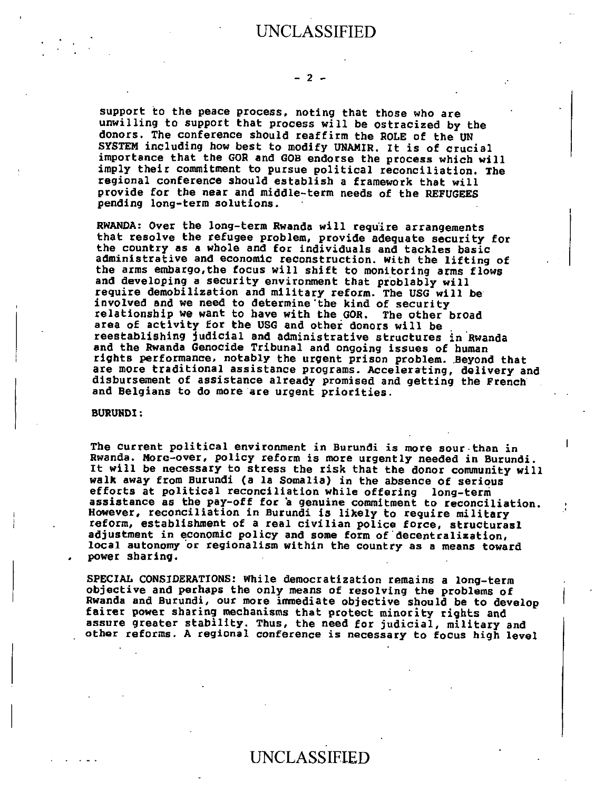support to the peace process, noting that those who are unwilling to support that process will be ostracized by the donors. The conference should reaffirm the ROLE of the UN SYSTEM including how best to modify UNAMIR. It is of crucial importance that the GOR and GOB endorse the process which will imply their commitment to pursue political reconciliation. The regional conference should establish a framework that will provide for the near and middle-term needs of the REFUGEES pending long-term solutions.

RWANDA: Over the long-term Rwanda will require arrangements that resolve the refugee problem, provide adequate security for the country as a whole and for individuals and tackles basic administrative and economic reconstruction, with the lifting of the arms embargo,the focus will shift to monitoring arms flows and developing a security environment that problably will require demobilization and military reform. The USG will be involved and we need to determine'the kind of security relationship we want to have with the GOR. The other broad area of activity for the USG and other donors will be reestablishing judicial and administrative structures in Rwanda and the Rwanda Genocide Tribunal and ongoing issues of human rights performance, notably the urgent prison problem. Beyond that are more traditional assistance programs. Accelerating, delivery and disbursement of assistance already promised and getting the French and Belgians to do more are urgent priorities.

#### BURUNDI:

The current political environment in Burundi is more sour than **in**  Rwanda. More-over, policy reform is more urgently needed in Burundi. It will be necessary to stress the risk that the donor community will walk away from Burundi (a la Somalia) in the absence of serious efforts at political reconciliation while offering long-term assistance as the pay-off for a genuine commitment to reconciliation. However, reconciliation in Burundi is likely to require military reform, establishment of a real civilian police force, structurasl adjustment in economic policy and some form of decentralization, local autonomy or regionalism within the country as a means toward power sharing.

SPECIAL CONSIDERATIONS: While democratization remains a long-term objective and perhaps the only means of resolving the problems of Rwanda and Burundi, our more immediate objective should be to develop fairer power sharing mechanisms that protect minority rights and assure greater stability. Thus, the need for judicial, military and other reforms. A regional conference is necessary to focus high level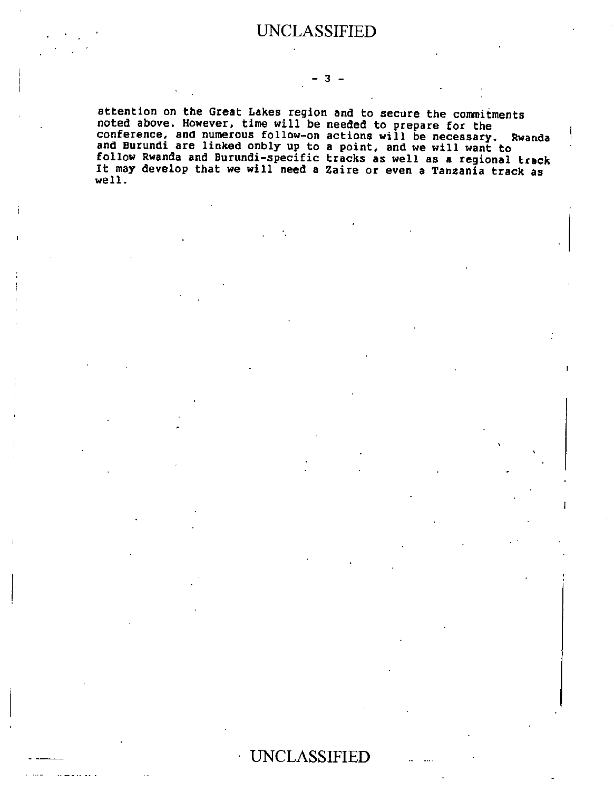#### **- 3 -**

**attention on the Great Lakes region and to secure the commitments noted above. However, time will be needed to prepare for the**  conference, and numerous follow-on actions will **be necessary. Rwanda and Burundi are linked onbly up to a point, and we will want to follow Rwanda and Burundi-specific tracks as well as a regional track It may develop that we will need a Zaire or even a Tanzania track as well.**